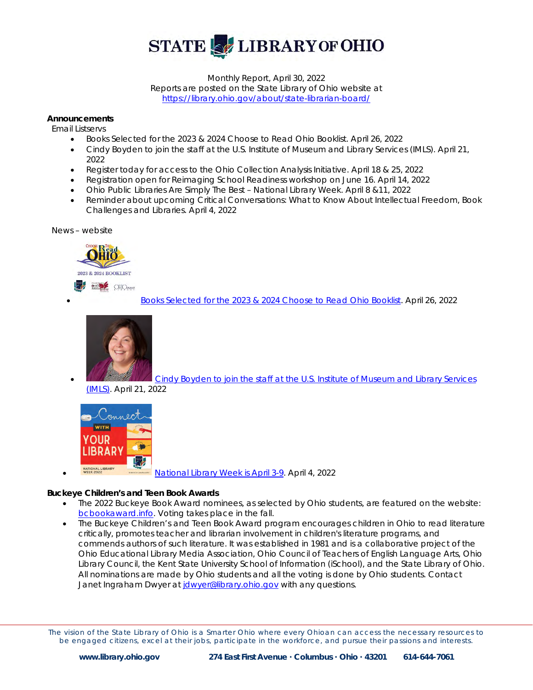

Monthly Report, April 30, 2022 Reports are posted on the State Library of Ohio website at <https://library.ohio.gov/about/state-librarian-board/>

#### **Announcements**

 *Email Listservs*

- Books Selected for the 2023 & 2024 Choose to Read Ohio Booklist. April 26, 2022
- Cindy Boyden to join the staff at the U.S. Institute of Museum and Library Services (IMLS). April 21, 2022
- Register today for access to the Ohio Collection Analysis Initiative. April 18 & 25, 2022
- Registration open for Reimaging School Readiness workshop on June 16. April 14, 2022
- Ohio Public Libraries Are Simply The Best National Library Week. April 8 &11, 2022
- Reminder about upcoming Critical Conversations: What to Know About Intellectual Freedom, Book Challenges and Libraries. April 4, 2022

 *News – website*



• [Books Selected for the 2023 & 2024 Choose to Read Ohio Booklist.](https://library.ohio.gov/news/books-selected-for-the-2023-2024-choose-to-read-ohio-booklist/) April 26, 2022



• [Cindy Boyden to join the staff at the U.S. Institute of Museum and Library Services](https://library.ohio.gov/news/cindy-boyden-to-join-the-staff-at-the-u-s-institute-of-museum-and-library-services-imls/) 

[\(IMLS\).](https://library.ohio.gov/news/cindy-boyden-to-join-the-staff-at-the-u-s-institute-of-museum-and-library-services-imls/) April 21, 2022



• [National Library Week is April 3-9.](https://library.ohio.gov/news/national-library-week-is-april-3-9/) April 4, 2022

#### **Buckeye Children's and Teen Book Awards**

- The 2022 Buckeye Book Award nominees, as selected by Ohio students, are featured on the website: [bcbookaward.info.](http://bcbookaward.info/) Voting takes place in the fall.
- The Buckeye Children's and Teen Book Award program encourages children in Ohio to read literature critically, promotes teacher and librarian involvement in children's literature programs, and commends authors of such literature. It was established in 1981 and is a collaborative project of the Ohio Educational Library Media Association, Ohio Council of Teachers of English Language Arts, Ohio Library Council, the Kent State University School of Information (iSchool), and the State Library of Ohio. All nominations are made by Ohio students and all the voting is done by Ohio students. Contact Janet Ingraham Dwyer at *jdwyer@library.ohio.gov* with any questions.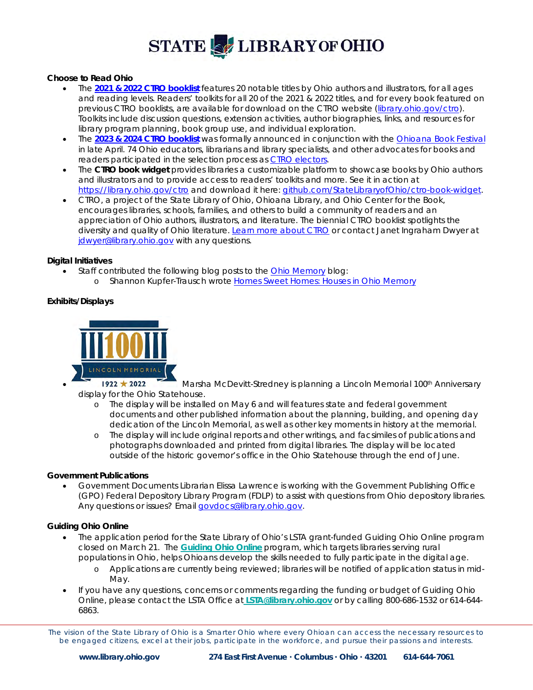#### **Choose to Read Ohio**

- The **[2021 & 2022 CTRO booklist](https://library.ohio.gov/documents/choose-read-ohio-2021-2022-titles/)** features 20 notable titles by Ohio authors and illustrators, for all ages and reading levels. Readers' toolkits for all 20 of the 2021 & 2022 titles, and for every book featured on previous CTRO booklists, are available for download on the CTRO website [\(library.ohio.gov/ctro\)](https://library.ohio.gov/services-for-libraries/library-programs-development/ctro/). Toolkits include discussion questions, extension activities, author biographies, links, and resources for library program planning, book group use, and individual exploration.
- The **[2023 & 2024 CTRO booklist](https://library.ohio.gov/news/books-selected-for-the-2023-2024-choose-to-read-ohio-booklist/)** was formally announced in conjunction with the [Ohioana Book Festival](http://www.ohioana.org/programs/ohioana-book-festival/) in late April. 74 Ohio educators, librarians and library specialists, and other advocates for books and readers participated in the selection process as [CTRO electors.](https://library.ohio.gov/services-for-libraries/library-programs-development/ctro/selection-process/)
- The **CTRO book widget** provides libraries a customizable platform to showcase books by Ohio authors and illustrators and to provide access to readers' toolkits and more. See it in action at [https://library.ohio.gov/ctro](https://library.ohio.gov/services-for-libraries/library-programs-development/ctro/) and download it here: [github.com/StateLibraryofOhio/ctro-book-widget.](https://github.com/StateLibraryofOhio/ctro-book-widget)
- CTRO, a project of the State Library of Ohio, Ohioana Library, and Ohio Center for the Book, encourages libraries, schools, families, and others to build a community of readers and an appreciation of Ohio authors, illustrators, and literature. The biennial CTRO booklist spotlights the diversity and quality of Ohio literature[. Learn more about CTRO](https://library.ohio.gov/services-for-libraries/library-programs-development/ctro/choose-to-read-ohio-credits/) or contact Janet Ingraham Dwyer at [jdwyer@library.ohio.gov](mailto:jdwyer@library.ohio.gov) with any questions.

#### **Digital Initiatives**

- Staff contributed the following blog posts to the [Ohio Memory](https://gcc02.safelinks.protection.outlook.com/?url=http%3A%2F%2Fohiomemory.org%2F&data=05%7C01%7Cjward%40library.ohio.gov%7C8c890ad003db45b0d73108da2d41dbfc%7C50f8fcc494d84f0784eb36ed57c7c8a2%7C0%7C0%7C637872058124894941%7CUnknown%7CTWFpbGZsb3d8eyJWIjoiMC4wLjAwMDAiLCJQIjoiV2luMzIiLCJBTiI6Ik1haWwiLCJXVCI6Mn0%3D%7C3000%7C%7C%7C&sdata=Q1B1CPGcfetjQnCc7GBFi7nYFzjXf15EKu78ZRWujOE%3D&reserved=0) blog:
	- o Shannon Kupfer-Trausch wrot[e Homes Sweet Homes: Houses in Ohio Memory](https://gcc02.safelinks.protection.outlook.com/?url=https%3A%2F%2Fohiomemory.ohiohistory.org%2Farchives%2F5669&data=05%7C01%7Cjward%40library.ohio.gov%7C8c890ad003db45b0d73108da2d41dbfc%7C50f8fcc494d84f0784eb36ed57c7c8a2%7C0%7C0%7C637872058124894941%7CUnknown%7CTWFpbGZsb3d8eyJWIjoiMC4wLjAwMDAiLCJQIjoiV2luMzIiLCJBTiI6Ik1haWwiLCJXVCI6Mn0%3D%7C3000%7C%7C%7C&sdata=1T%2BSCyZo9w3xnx%2Bo%2B4lry81DKghRx7nehD0Xi6jUs70%3D&reserved=0)

#### **Exhibits/Displays**



 $\bullet$  1922  $\bullet$  Marsha McDevitt-Stredney is planning a Lincoln Memorial 100<sup>th</sup> Anniversary display for the Ohio Statehouse.

- o The display will be installed on May 6 and will features state and federal government documents and other published information about the planning, building, and opening day dedication of the Lincoln Memorial, as well as other key moments in history at the memorial.
- o The display will include original reports and other writings, and facsimiles of publications and photographs downloaded and printed from digital libraries. The display will be located outside of the historic governor's office in the Ohio Statehouse through the end of June.

#### **Government Publications**

• Government Documents Librarian Elissa Lawrence is working with the Government Publishing Office (GPO) Federal Depository Library Program (FDLP) to assist with questions from Ohio depository libraries. Any questions or issues? Email [govdocs@library.ohio.gov.](mailto:govdocs@library.ohio.gov)

#### **Guiding Ohio Online**

- The application period for the State Library of Ohio's LSTA grant-funded Guiding Ohio Online program closed on March 21. The **[Guiding Ohio Online](https://library.ohio.gov/services-for-libraries/library-programs-development/guiding-ohio-online/)** program, which targets libraries serving rural populations in Ohio, helps Ohioans develop the skills needed to fully participate in the digital age.
	- o Applications are currently being reviewed; libraries will be notified of application status in mid-May.
- If you have any questions, concerns or comments regarding the funding or budget of Guiding Ohio Online, please contact the LSTA Office at **[LSTA@library.ohio.gov](mailto:LSTA@library.ohio.gov)** or by calling 800-686-1532 or 614-644- 6863.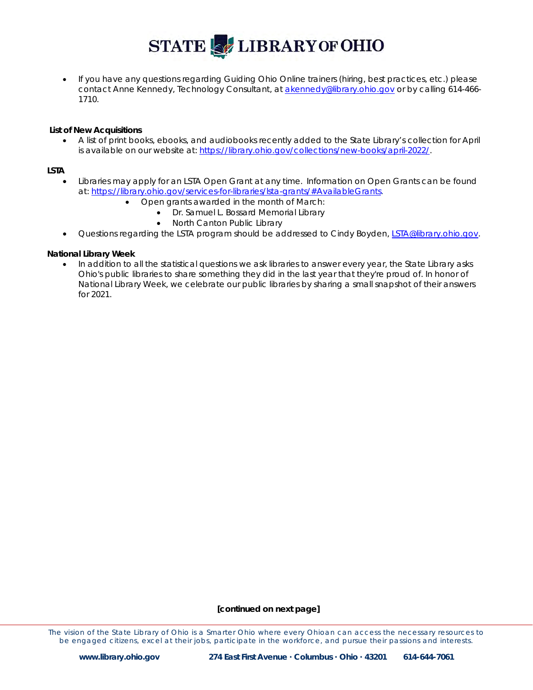• If you have any questions regarding Guiding Ohio Online trainers (hiring, best practices, etc.) please contact Anne Kennedy, Technology Consultant, at [akennedy@library.ohio.gov](mailto:akennedy@library.ohio.gov) or by calling 614-466- 1710.

#### **List of New Acquisitions**

• A list of print books, ebooks, and audiobooks recently added to the State Library's collection for April is available on our website at: [https://library.ohio.gov/collections/new-books/april-2022/.](https://library.ohio.gov/collections/new-books/april-2022/)

#### **LSTA**

- Libraries may apply for an LSTA Open Grant at any time. Information on Open Grants can be found at: [https://library.ohio.gov/services-for-libraries/lsta-grants/#AvailableGrants.](https://library.ohio.gov/services-for-libraries/lsta-grants/#AvailableGrants)
	- Open grants awarded in the month of March:
		- Dr. Samuel L. Bossard Memorial Library
			- North Canton Public Library
- Questions regarding the LSTA program should be addressed to Cindy Boyden, [LSTA@library.ohio.gov.](mailto:LSTA@library.ohio.gov)

#### **National Library Week**

• In addition to all the statistical questions we ask libraries to answer every year, the State Library asks Ohio's public libraries to share something they did in the last year that they're proud of. In honor of National Library Week, we celebrate our public libraries by sharing a small snapshot of their answers for 2021.

#### **[continued on next page]**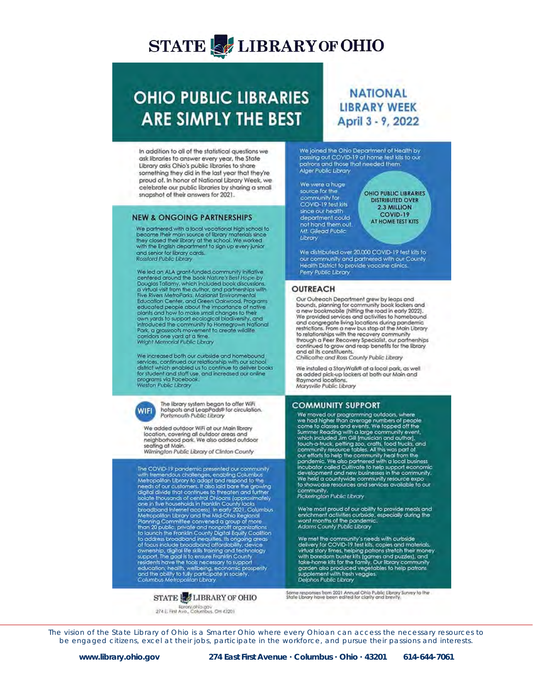## **OHIO PUBLIC LIBRARIES ARE SIMPLY THE BEST**

In addition to all of the statistical questions we ask libraries to answer every year, the State Library asks Ohio's public libraries to share something they did in the last year that they're proud of. In honor of National Library Week, we celebrate our public libraries by sharing a small snapshot of their answers for 2021.

#### **NEW & ONGOING PARTNERSHIPS**

We partnered with a local vocational high school to<br>become their main source of favory materials since<br>they closed their library at the school. We worked<br>with the English department to sign up every junior and senior for library cards. **Rossford Public Library** 

We led an ALA grant-funded community inifiative<br>centered around the book Nature's Best Hope by<br>Douglas Tallamy, which included book discussions.<br>a virtual visit from the author, and partnerships with<br>Five Rivers MetroParks educated people about the importance of native<br>plants and how to make small changes to their<br>own yards to support ecological biodivieraly, and<br>introduced the community to Homegrown National Park, a grassroots movement to create wildlife<br>corridors one yard at a time.<br>Wright Memorial Public Library

We increased both our curbside and homebound services, continued our relationship with our school<br>district which enabled us to continue to deliver books<br>for student and staff use, and increased our online<br>programs via Facebook.<br>Weston Public Library



The library system began to offer WiFi<br>hotspots and LeapPads® for circulation. Portsmouth Public Library

We added outdoor WiFi at our Main Ebrary location, covering all outdoor areas and<br>neighborhood park. We also added outdoor neighborhood park, we also added outdoor<br>seating at Main.<br>Wilmington Public Library of Clinton County

The COVID-19 pandemic presented our community mentions changes, enabling Columbus<br>
With tremendous challenges, enabling Columbus<br>
Metropolitan Library to adopt and respond to the<br>
needs of our customers. It also laid bare the growing<br>
digital divide that continues to one in fivo households in Frankfin County lacks<br>to conduct the profile of the profile of the profile of the Mid-Ohio Regional<br>Hanning Committee convened a group of more<br>from 20 public, private and nonprofit arganizations<br>t residents have the tools necessary to support<br>esidents have the tools necessary to support<br>and the oblity to fully participate in society.<br>Columbus Metropolitan Library

#### **STATE LE LIBRARY OF OHIO**

Euronichio gov<br>274 E. Fest Ave., Columbus, OH 43201

### **NATIONAL LIBRARY WEEK** April 3 - 9, 2022

We joined the Ohio Department of Health by<br>passing out COVID-19 at home test kits to our patients and those that needed them. Alger Public Library

We were a huge source for the community for COVID-19 test kits since our health department could not hand them out. Mf. Gilead Public Library

OHIO PUBLIC LIBRARIES **DISTRIBUTED OVER** 2.3 MILLION **COVID-19** AT HOME TEST KITS

We distributed over 20,000 COVID-19 test kits to our community and partnered with our County<br>Health District to provide vaccine clinics. Perry Public Library

#### **OUTREACH**

Our Outreach Department grew by leaps and bounds, planning for community book lockers and<br>a new bookmobile (hitting the road in early 2022). a new boundary and activities to homebound<br>one provided services and activities to homebound<br>and congregate living locations during pandemic<br>restrictions. From a new bus stop at the Main Ubrary<br>to relationships with the re through a Peer Recovery Specialist, our partnerships continued to grow and reap benefits for the library<br>and all its constituents. Chillicothe and Ross County Public Library

We installed a StoryWalk® at a local park, as well as added pick-up lockers at both our Main and<br>Raymond locations. Marysville Public Library

#### **COMMUNITY SUPPORT**

COMMUNITY 3 JULY TO THE READ ONES We moved our programming outdoors, where<br>we had higher than average numbers of people<br>come to classes and events. We topped off the<br>symmer Reading with a large community event,<br>which inclu to showcase resources and services available to our community.<br>Pickerington Public Library

We're most proud of our ability to provide meals and<br>enrichment activities curbside, especially during the<br>worst months of the pandemic.<br>Adams County Public Ubrary

We met the community's needs with curbside<br>delivery for COVID-19 test kits, copies and materials,<br>virtual story times, helping pations stretch their money<br>with boredom buster kits (games and puzzles), and<br>take-home kits fo

Some responses from 2021 Annual Ohio Public Ebrary Survey to the<br>State Library have been edited for clarity and brevity.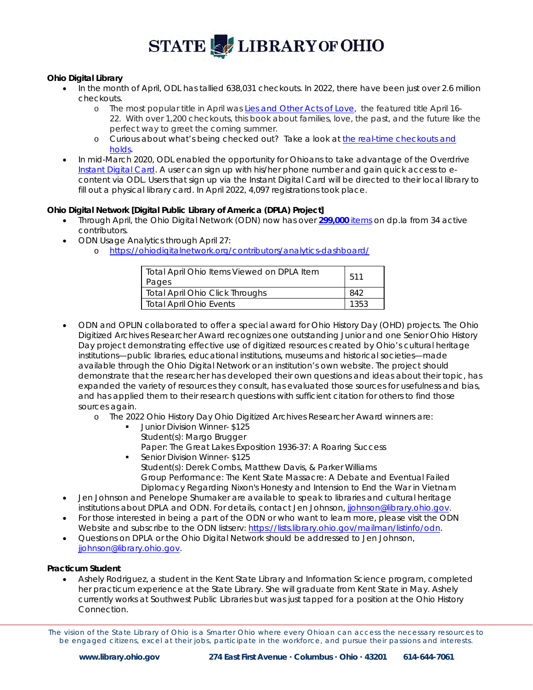

### **Ohio Digital Library**

- In the month of April, ODL has tallied 638,031 checkouts. In 2022, there have been just over 2.6 million checkouts.
	- o The most popular title in April was *[Lies and Other Acts of Love,](https://gcc02.safelinks.protection.outlook.com/?url=https%3A%2F%2Fohdbks.overdrive.com%2Fmedia%2F4483971&data=05%7C01%7Cestruble%40library.ohio.gov%7C88c4811941e54bd9229e08da2c3f91bd%7C50f8fcc494d84f0784eb36ed57c7c8a2%7C0%7C0%7C637870948775173799%7CUnknown%7CTWFpbGZsb3d8eyJWIjoiMC4wLjAwMDAiLCJQIjoiV2luMzIiLCJBTiI6Ik1haWwiLCJXVCI6Mn0%3D%7C3000%7C%7C%7C&sdata=ctZXvIGOvxE7RTLPGhafnKzfZJl4HFC0oDcTFjC6cF8%3D&reserved=0)* the featured title April 16- 22. With over 1,200 checkouts, this book about families, love, the past, and the future like the perfect way to greet the coming summer.
	- o Curious about what's being checked out? Take a look a[t the real-time checkouts and](https://insights.overdrive.com/dashboards/14922bc89c2b4de7b2bd518d0ee0b021)  [holds.](https://insights.overdrive.com/dashboards/14922bc89c2b4de7b2bd518d0ee0b021)
- In mid-March 2020, ODL enabled the opportunity for Ohioans to take advantage of the Overdrive [Instant Digital Card.](https://resources.overdrive.com/library/apps-features/instant-digital-card/) A user can sign up with his/her phone number and gain quick access to econtent via ODL. Users that sign up via the Instant Digital Card will be directed to their local library to fill out a physical library card. In April 2022, 4,097 registrations took place.

### **Ohio Digital Network [Digital Public Library of America (DPLA) Project]**

- Through April, the Ohio Digital Network (ODN) now has over **[299,000](https://dp.la/search?partner=%22Ohio%20Digital%20Network%22)** items on dp.la from 34 active contributors.
- ODN Usage Analytics through April 27:
	- o [https://ohiodigitalnetwork.org/contributors/analytics-dashboard/](https://gcc02.safelinks.protection.outlook.com/?url=https%3A%2F%2Fohiodigitalnetwork.org%2Fcontributors%2Fanalytics-dashboard%2F&data=04%7C01%7Cestruble%40library.ohio.gov%7Cd4c9ca7509c74f70110008d95043c478%7C50f8fcc494d84f0784eb36ed57c7c8a2%7C0%7C0%7C637629074259489406%7CUnknown%7CTWFpbGZsb3d8eyJWIjoiMC4wLjAwMDAiLCJQIjoiV2luMzIiLCJBTiI6Ik1haWwiLCJXVCI6Mn0%3D%7C1000&sdata=MHDhJPuhfBFHJoao3hpiFMn%2BCGqe%2FA0wBpZfcSmFxjY%3D&reserved=0)

| Total April Ohio Items Viewed on DPLA Item<br>Pages | 511  |
|-----------------------------------------------------|------|
| Total April Ohio Click Throughs                     | 842  |
| <b>Total April Ohio Events</b>                      | 1353 |

- ODN and OPLIN collaborated to offer a special award for Ohio History Day (OHD) projects. The Ohio Digitized Archives Researcher Award recognizes one outstanding Junior and one Senior Ohio History Day project demonstrating effective use of digitized resources created by Ohio's cultural heritage institutions—public libraries, educational institutions, museums and historical societies—made available through the Ohio Digital Network or an institution's own website. The project should demonstrate that the researcher has developed their own questions and ideas about their topic, has expanded the variety of resources they consult, has evaluated those sources for usefulness and bias, and has applied them to their research questions with sufficient citation for others to find those sources again.
	- o The 2022 Ohio History Day Ohio Digitized Archives Researcher Award winners are:
		- **Junior Division Winner- \$125** Student(s): Margo Brugger Paper: The Great Lakes Exposition 1936-37: A Roaring Success
		- Senior Division Winner- \$125 Student(s): Derek Combs, Matthew Davis, & Parker Williams Group Performance: The Kent State Massacre: A Debate and Eventual Failed Diplomacy Regarding Nixon's Honesty and Intension to End the War in Vietnam
- Jen Johnson and Penelope Shumaker are available to speak to libraries and cultural heritage institutions about DPLA and ODN. For details, contact Jen Johnson, [jjohnson@library.ohio.gov.](mailto:jjohnson@library.ohio.gov)
- For those interested in being a part of the ODN or who want to learn more, please visit the ODN Website and subscribe to the ODN listserv: [https://lists.library.ohio.gov/mailman/listinfo/odn.](https://lists.library.ohio.gov/mailman/listinfo/odn)
- Questions on DPLA or the Ohio Digital Network should be addressed to Jen Johnson, [jjohnson@library.ohio.gov.](mailto:jjohnson@library.ohio.gov)

#### **Practicum Student**

• Ashely Rodriguez, a student in the Kent State Library and Information Science program, completed her practicum experience at the State Library. She will graduate from Kent State in May. Ashely currently works at Southwest Public Libraries but was just tapped for a position at the Ohio History Connection.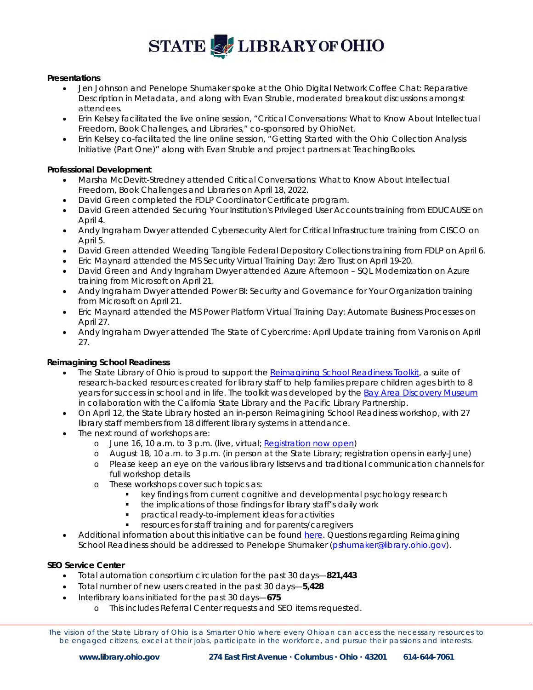#### **Presentations**

- Jen Johnson and Penelope Shumaker spoke at the Ohio Digital Network Coffee Chat: Reparative Description in Metadata, and along with Evan Struble, moderated breakout discussions amongst attendees.
- Erin Kelsey facilitated the live online session, "Critical Conversations: What to Know About Intellectual Freedom, Book Challenges, and Libraries," co-sponsored by OhioNet.
- Erin Kelsey co-facilitated the line online session, "Getting Started with the Ohio Collection Analysis Initiative (Part One)" along with Evan Struble and project partners at TeachingBooks.

#### **Professional Development**

- Marsha McDevitt-Stredney attended Critical Conversations: What to Know About Intellectual Freedom, Book Challenges and Libraries on April 18, 2022.
- David Green completed the FDLP Coordinator Certificate program.
- David Green attended Securing Your Institution's Privileged User Accounts training from EDUCAUSE on April 4.
- Andy Ingraham Dwyer attended Cybersecurity Alert for Critical Infrastructure training from CISCO on April 5.
- David Green attended Weeding Tangible Federal Depository Collections training from FDLP on April 6.
- Eric Maynard attended the MS Security Virtual Training Day: Zero Trust on April 19-20.
- David Green and Andy Ingraham Dwyer attended Azure Afternoon SQL Modernization on Azure training from Microsoft on April 21.
- Andy Ingraham Dwyer attended Power BI: Security and Governance for Your Organization training from Microsoft on April 21.
- Eric Maynard attended the MS Power Platform Virtual Training Day: Automate Business Processes on April 27.
- Andy Ingraham Dwyer attended The State of Cybercrime: April Update training from Varonis on April 27.

#### **Reimagining School Readiness**

- The State Library of Ohio is proud to support the [Reimagining School Readiness Toolkit,](https://bayareadiscoverymuseum.org/resources/educator-resources/library-toolkit) a suite of research-backed resources created for library staff to help families prepare children ages birth to 8 years for success in school and in life. The toolkit was developed by the [Bay Area Discovery Museum](https://bayareadiscoverymuseum.org/) in collaboration with the California State Library and the Pacific Library Partnership.
- On April 12, the State Library hosted an in-person Reimagining School Readiness workshop, with 27 library staff members from 18 different library systems in attendance.
- The next round of workshops are:
	- o June 16, 10 a.m. to 3 p.m. (live, virtual; [Registration now open\)](https://events.library.ohio.gov/event/9102293)
	- o August 18, 10 a.m. to 3 p.m. (in person at the State Library; registration opens in early-June)
	- o Please keep an eye on the various library listservs and traditional communication channels for full workshop details
	- o These workshops cover such topics as:
		- **EXECT** key findings from current cognitive and developmental psychology research
		- the implications of those findings for library staff's daily work
		- practical ready-to-implement ideas for activities
		- resources for staff training and for parents/caregivers
- Additional information about this initiative can be foun[d here.](https://library.ohio.gov/services-for-libraries/library-programs-development/youth-services/reimagining-school-readiness/#About) Questions regarding Reimagining School Readiness should be addressed to Penelope Shumaker [\(pshumaker@library.ohio.gov\)](mailto:pshumaker@library.ohio.gov).

#### **SEO Service Center**

- Total automation consortium circulation for the past 30 days—**821,443**
- Total number of new users created in the past 30 days—**5,428**
- Interlibrary loans initiated for the past 30 days—**675**
	- o This includes Referral Center requests and SEO items requested.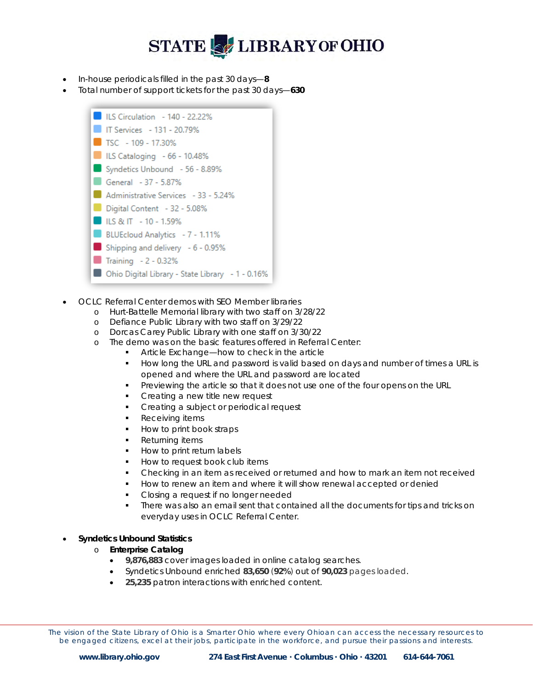- In-house periodicals filled in the past 30 days—**8**
- Total number of support tickets for the past 30 days—**630**



- OCLC Referral Center demos with SEO Member libraries
	- o Hurt-Battelle Memorial library with two staff on 3/28/22
	- o Defiance Public Library with two staff on 3/29/22
	- o Dorcas Carey Public Library with one staff on 3/30/22
	- o The demo was on the basic features offered in Referral Center:<br>Article Exchange—how to check in the article
		- Article Exchange—how to check in the article
			- How long the URL and password is valid based on days and number of times a URL is opened and where the URL and password are located
			- **Previewing the article so that it does not use one of the four opens on the URL**
		- Creating a new title new request
		- Creating a subject or periodical request
		- Receiving items
		- How to print book straps
		- Returning items
		- How to print return labels
		- How to request book club items
		- Checking in an item as received or returned and how to mark an item not received
		- How to renew an item and where it will show renewal accepted or denied
		- Closing a request if no longer needed
		- There was also an email sent that contained all the documents for tips and tricks on everyday uses in OCLC Referral Center.

#### • **Syndetics Unbound Statistics**

- o **Enterprise Catalog**
	- **9,876,883** cover images loaded in online catalog searches.
	- Syndetics Unbound enriched **83,650** (**92%**) out of **90,023** pages loaded.
	- **25,235** patron interactions with enriched content.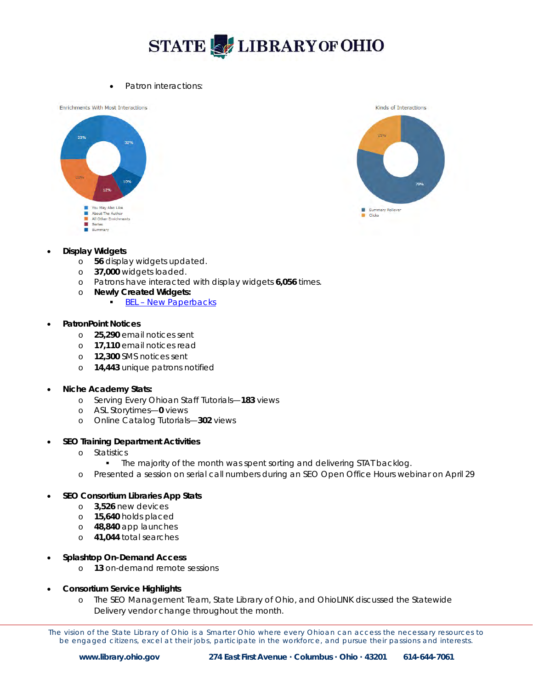• Patron interactions:

**Enrichments With Most Interactions** 





#### • **Display Widgets**

- o **56** display widgets updated.
- o **37,000** widgets loaded.
- o Patrons have interacted with display widgets **6,056** times.
- o **Newly Created Widgets:**
	- [BEL New Paperbacks](https://www.bellaire.lib.oh.us/newitems)

#### • **PatronPoint Notices**

- o **25,290** email notices sent
- o **17,110** email notices read
- o **12,300** SMS notices sent
- o **14,443** unique patrons notified

#### • **Niche Academy Stats:**

- o Serving Every Ohioan Staff Tutorials—**183** views
- o ASL Storytimes—**0** views
- o Online Catalog Tutorials—**302** views
- **SEO Training Department Activities**
	- o Statistics
		- **The majority of the month was spent sorting and delivering STAT backlog.**
	- o Presented a session on serial call numbers during an SEO Open Office Hours webinar on April 29

### • **SEO Consortium Libraries App Stats**

- o **3,526** new devices
- o **15,640** holds placed
- o **48,840** app launches
- o **41,044** total searches
- **Splashtop On-Demand Access**
	- o **13** on-demand remote sessions
- **Consortium Service Highlights**
	- o The SEO Management Team, State Library of Ohio, and OhioLINK discussed the Statewide Delivery vendor change throughout the month.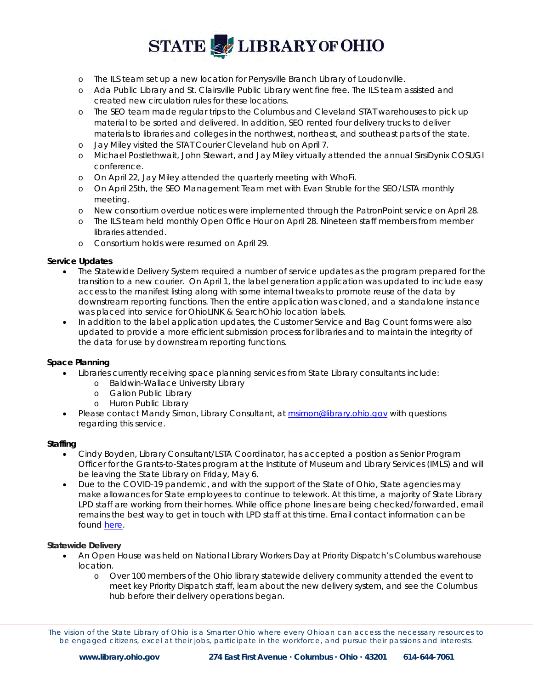- o The ILS team set up a new location for Perrysville Branch Library of Loudonville.
- o Ada Public Library and St. Clairsville Public Library went fine free. The ILS team assisted and created new circulation rules for these locations.
- o The SEO team made regular trips to the Columbus and Cleveland STAT warehouses to pick up material to be sorted and delivered. In addition, SEO rented four delivery trucks to deliver materials to libraries and colleges in the northwest, northeast, and southeast parts of the state.
- o Jay Miley visited the STAT Courier Cleveland hub on April 7.
- o Michael Postlethwait, John Stewart, and Jay Miley virtually attended the annual SirsiDynix COSUGI conference.
- o On April 22, Jay Miley attended the quarterly meeting with WhoFi.
- o On April 25th, the SEO Management Team met with Evan Struble for the SEO/LSTA monthly meeting.
- o New consortium overdue notices were implemented through the PatronPoint service on April 28.
- o The ILS team held monthly Open Office Hour on April 28. Nineteen staff members from member libraries attended.
- o Consortium holds were resumed on April 29.

#### **Service Updates**

- The Statewide Delivery System required a number of service updates as the program prepared for the transition to a new courier. On April 1, the label generation application was updated to include easy access to the manifest listing along with some internal tweaks to promote reuse of the data by downstream reporting functions. Then the entire application was cloned, and a standalone instance was placed into service for OhioLINK & SearchOhio location labels.
- In addition to the label application updates, the Customer Service and Bag Count forms were also updated to provide a more efficient submission process for libraries and to maintain the integrity of the data for use by downstream reporting functions.

#### **Space Planning**

- Libraries currently receiving space planning services from State Library consultants include:
	- o Baldwin-Wallace University Library
	- o Galion Public Library
	- o Huron Public Library
- Please contact Mandy Simon, Library Consultant, a[t msimon@library.ohio.gov](mailto:msimon@library.ohio.gov) with questions regarding this service.

#### **Staffing**

- Cindy Boyden, Library Consultant/LSTA Coordinator, has accepted a position as Senior Program Officer for the Grants-to-States program at the Institute of Museum and Library Services (IMLS) and will be leaving the State Library on Friday, May 6.
- Due to the COVID-19 pandemic, and with the support of the State of Ohio, State agencies may make allowances for State employees to continue to telework. At this time, a majority of State Library LPD staff are working from their homes. While office phone lines are being checked/forwarded, email remains the best way to get in touch with LPD staff at this time. Email contact information can be found [here.](https://library.ohio.gov/about/staff/#programs)

#### **Statewide Delivery**

- An Open House was held on National Library Workers Day at Priority Dispatch's Columbus warehouse location.
	- o Over 100 members of the Ohio library statewide delivery community attended the event to meet key Priority Dispatch staff, learn about the new delivery system, and see the Columbus hub before their delivery operations began.

The vision of the State Library of Ohio is a Smarter Ohio where every Ohioan can access the necessary resources to be engaged citizens, excel at their jobs, participate in the workforce, and pursue their passions and interests.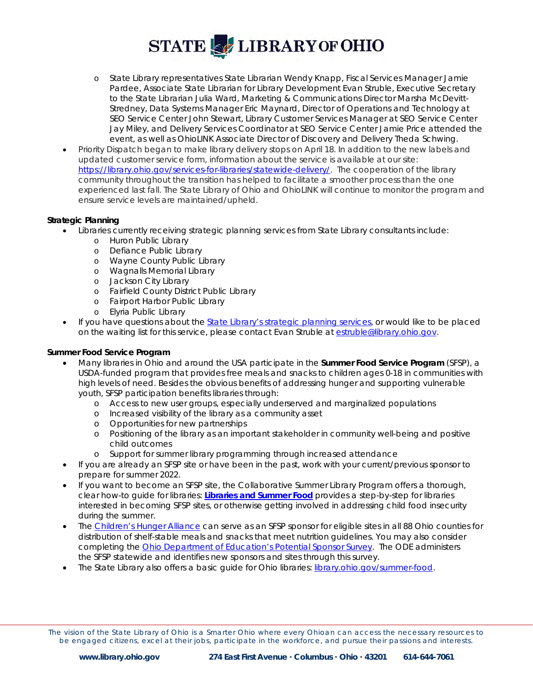- o State Library representatives State Librarian Wendy Knapp, Fiscal Services Manager Jamie Pardee, Associate State Librarian for Library Development Evan Struble, Executive Secretary to the State Librarian Julia Ward, Marketing & Communications Director Marsha McDevitt-Stredney, Data Systems Manager Eric Maynard, Director of Operations and Technology at SEO Service Center John Stewart, Library Customer Services Manager at SEO Service Center Jay Miley, and Delivery Services Coordinator at SEO Service Center Jamie Price attended the event, as well as OhioLINK Associate Director of Discovery and Delivery Theda Schwing.
- Priority Dispatch began to make library delivery stops on April 18. In addition to the new labels and updated customer service form, information about the service is available at our site: [https://library.ohio.gov/services-for-libraries/statewide-delivery/.](https://library.ohio.gov/services-for-libraries/statewide-delivery/) The cooperation of the library community throughout the transition has helped to facilitate a smoother process than the one experienced last fall. The State Library of Ohio and OhioLINK will continue to monitor the program and ensure service levels are maintained/upheld.

### **Strategic Planning**

- Libraries currently receiving strategic planning services from State Library consultants include:
	- o Huron Public Library
	- o Defiance Public Library
	- o Wayne County Public Library
	- o Wagnalls Memorial Library
	- o Jackson City Library
	- o Fairfield County District Public Library
	- o Fairport Harbor Public Library
	- o Elyria Public Library
- If you have questions about the [State Library's strategic planning services,](https://library.ohio.gov/services-for-libraries/strategic-planning/) or would like to be placed on the waiting list for this service, please contact Evan Struble at [estruble@library.ohio.gov.](mailto:estruble@library.ohio.gov)

### **Summer Food Service Program**

- Many libraries in Ohio and around the USA participate in the **Summer Food Service Program** (SFSP), a USDA-funded program that provides free meals and snacks to children ages 0-18 in communities with high levels of need. Besides the obvious benefits of addressing hunger and supporting vulnerable youth, SFSP participation benefits libraries through:
	- o Access to new user groups, especially underserved and marginalized populations
	- o Increased visibility of the library as a community asset
	- o Opportunities for new partnerships
	- o Positioning of the library as an important stakeholder in community well-being and positive child outcomes
	- o Support for summer library programming through increased attendance
- If you are already an SFSP site or have been in the past, work with your current/previous sponsor to prepare for summer 2022.
- If you want to become an SFSP site, the Collaborative Summer Library Program offers a thorough, clear how-to guide for libraries: **[Libraries and Summer Food](https://www.cslpreads.org/libraries-and-summer-food/)** provides a step-by-step for libraries interested in becoming SFSP sites, or otherwise getting involved in addressing child food insecurity during the summer.
- The [Children's Hunger Alliance](https://childrenshungeralliance.org/provider-services/summer-programs/contact-summer-programs/) can serve as an SFSP sponsor for eligible sites in all 88 Ohio counties for distribution of shelf-stable meals and snacks that meet nutrition guidelines. You may also consider completing the [Ohio Department of Education's Potential Sponsor Survey.](http://education.ohio.gov/Topics/Student-Supports/Food-and-Nutrition/Summer-Food-Service-Program/2013-Summer-Food-Service-Program-Potential-Sponsor) The ODE administers the SFSP statewide and identifies new sponsors and sites through this survey.
- The State Library also offers a basic guide for Ohio libraries: [library.ohio.gov/summer-food.](https://library.ohio.gov/services-for-libraries/library-programs-development/youth-services/summer-food-service-program/)

The vision of the State Library of Ohio is a Smarter Ohio where every Ohioan can access the necessary resources to be engaged citizens, excel at their jobs, participate in the workforce, and pursue their passions and interests.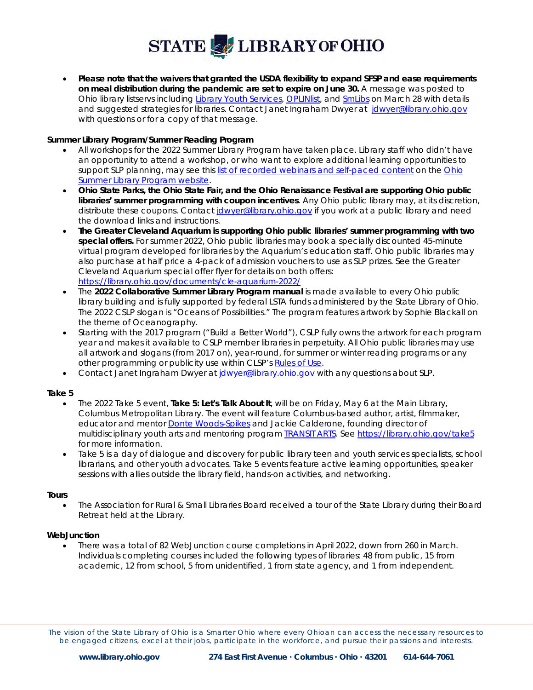• **Please note that the waivers that granted the USDA flexibility to expand SFSP and ease requirements on meal distribution during the pandemic are set to expire on June 30.** A message was posted to Ohio library listservs including [Library Youth Services,](https://lists.library.ohio.gov/mailman/listinfo/libraryyouthservices) [OPLINlist,](https://www.oplin.ohio.gov/content/oplinlist) and [SmLibs](https://lists.library.ohio.gov/mailman/listinfo/smlibs) on March 28 with details and suggested strategies for libraries. Contact Janet Ingraham Dwyer at [jdwyer@library.ohio.gov](mailto:jdwyer@library.ohio.gov) with questions or for a copy of that message.

#### **Summer Library Program/Summer Reading Program**

- All workshops for the 2022 Summer Library Program have taken place. Library staff who didn't have an opportunity to attend a workshop, or who want to explore additional learning opportunities to support SLP planning, may see this [list of recorded webinars and self-paced content](https://library.ohio.gov/services-for-libraries/library-programs-development/youth-services/ohio-summer-library-program/#Workshops) on the [Ohio](https://library.ohio.gov/services-for-libraries/library-programs-development/youth-services/ohio-summer-library-program/)  [Summer Library Program website.](https://library.ohio.gov/services-for-libraries/library-programs-development/youth-services/ohio-summer-library-program/)
- **Ohio State Parks, the Ohio State Fair, and the Ohio Renaissance Festival are supporting Ohio public libraries' summer programming with coupon incentives**. Any Ohio public library may, at its discretion, distribute these coupons. Contact *dwyer@library.ohio.gov* if you work at a public library and need the download links and instructions.
- **The Greater Cleveland Aquarium is supporting Ohio public libraries' summer programming with two special offers.** For summer 2022, Ohio public libraries may book a specially discounted 45-minute virtual program developed for libraries by the Aquarium's education staff. Ohio public libraries may also purchase at half price a 4-pack of admission vouchers to use as SLP prizes. See the Greater Cleveland Aquarium special offer flyer for details on both offers: <https://library.ohio.gov/documents/cle-aquarium-2022/>
- The **2022 Collaborative Summer Library Program manual** is made available to every Ohio public library building and is fully supported by federal LSTA funds administered by the State Library of Ohio. The 2022 CSLP slogan is "Oceans of Possibilities." The program features artwork by Sophie Blackall on the theme of Oceanography.
- Starting with the 2017 program ("Build a Better World"), CSLP fully owns the artwork for each program year and makes it available to CSLP member libraries in perpetuity. All Ohio public libraries may use all artwork and slogans (from 2017 on), year-round, for summer or winter reading programs or any other programming or publicity use within CLSP's [Rules of Use.](https://www.cslpreads.org/rules-of-use/)
- Contact Janet Ingraham Dwyer at [jdwyer@library.ohio.gov](mailto:jdwyer@library.ohio.gov) with any questions about SLP.

#### **Take 5**

- The 2022 Take 5 event, **Take 5: Let's Talk About It**, will be on Friday, May 6 at the Main Library, Columbus Metropolitan Library. The event will feature Columbus-based author, artist, filmmaker, educator and mentor [Donte Woods-Spikes](https://www.dontewoods-spikes.com/) and Jackie Calderone, founding director of multidisciplinary youth arts and mentoring program [TRANSIT ARTS.](https://transitarts.com/) Se[e https://library.ohio.gov/take5](https://library.ohio.gov/services-for-libraries/training-and-professional-development/take-five-program/) for more information.
- Take 5 is a day of dialogue and discovery for public library teen and youth services specialists, school librarians, and other youth advocates. Take 5 events feature active learning opportunities, speaker sessions with allies outside the library field, hands-on activities, and networking.

#### **Tours**

• The Association for Rural & Small Libraries Board received a tour of the State Library during their Board Retreat held at the Library.

#### **WebJunction**

• There was a total of 82 WebJunction course completions in April 2022, down from 260 in March. Individuals completing courses included the following types of libraries: 48 from public, 15 from academic, 12 from school, 5 from unidentified, 1 from state agency, and 1 from independent.

The vision of the State Library of Ohio is a Smarter Ohio where every Ohioan can access the necessary resources to be engaged citizens, excel at their jobs, participate in the workforce, and pursue their passions and interests.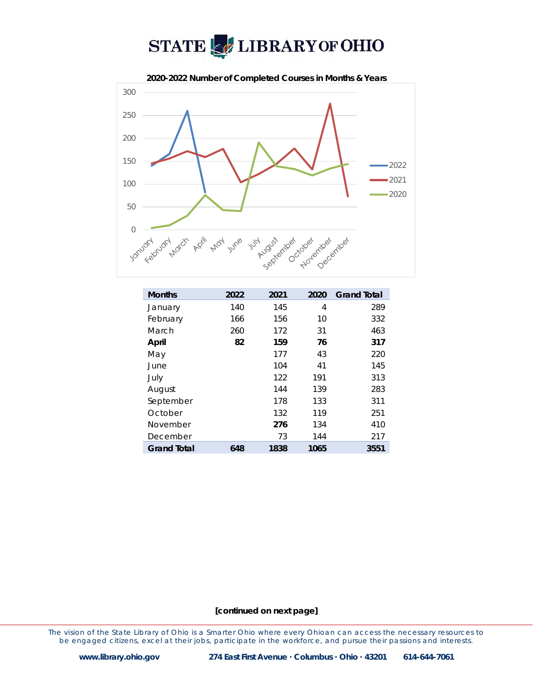



| <b>Months</b>      | 2022 | 2021 | 2020 | <b>Grand Total</b> |
|--------------------|------|------|------|--------------------|
| January            | 140  | 145  | 4    | 289                |
| February           | 166  | 156  | 10   | 332                |
| March              | 260  | 172  | 31   | 463                |
| April              | 82   | 159  | 76   | 317                |
| May                |      | 177  | 43   | 220                |
| June               |      | 104  | 41   | 145                |
| July               |      | 122  | 191  | 313                |
| August             |      | 144  | 139  | 283                |
| September          |      | 178  | 133  | 311                |
| October            |      | 132  | 119  | 251                |
| November           |      | 276  | 134  | 410                |
| December           |      | 73   | 144  | 217                |
| <b>Grand Total</b> | 648  | 1838 | 1065 | 3551               |

#### **[continued on next page]**